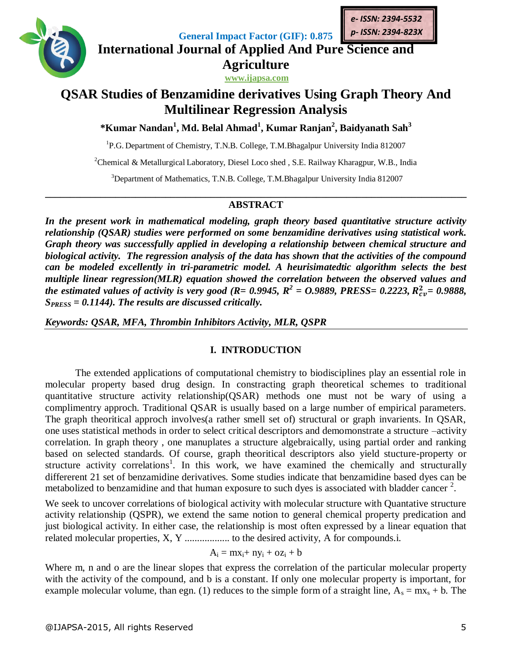

**General Impact Factor (GIF): 0.875 International Journal of Applied And Pure Science and**

> **Agriculture www.ijapsa.com**

# **QSAR Studies of Benzamidine derivatives Using Graph Theory And Multilinear Regression Analysis**

**\*Kumar Nandan<sup>1</sup> , Md. Belal Ahmad<sup>1</sup> , Kumar Ranjan<sup>2</sup> , Baidyanath Sah<sup>3</sup>**

<sup>1</sup>P.G. Department of Chemistry, T.N.B. College, T.M.Bhagalpur University India 812007

<sup>2</sup>Chemical & Metallurgical Laboratory, Diesel Loco shed, S.E. Railway Kharagpur, W.B., India

<sup>3</sup>Department of Mathematics, T.N.B. College, T.M.Bhagalpur University India 812007

# **\_\_\_\_\_\_\_\_\_\_\_\_\_\_\_\_\_\_\_\_\_\_\_\_\_\_\_\_\_\_\_\_\_\_\_\_\_\_\_\_\_\_\_\_\_\_\_\_\_\_\_\_\_\_\_\_\_\_\_\_\_\_\_\_\_\_\_\_\_\_\_\_\_\_\_\_\_\_\_\_\_\_\_\_ ABSTRACT**

*In the present work in mathematical modeling, graph theory based quantitative structure activity relationship (QSAR) studies were performed on some benzamidine derivatives using statistical work. Graph theory was successfully applied in developing a relationship between chemical structure and biological activity. The regression analysis of the data has shown that the activities of the compound can be modeled excellently in tri-parametric model. A heurisimatedtic algorithm selects the best multiple linear regression(MLR) equation showed the correlation between the observed values and the estimated values of activity is very good (R= 0.9945, R<sup>2</sup> = 0.9889, PRESS= 0.2223, R<sub>cv</sub>= 0.9888, SPRESS = 0.1144). The results are discussed critically.*

*Keywords: QSAR, MFA, Thrombin Inhibitors Activity, MLR, QSPR*

# **I. INTRODUCTION**

The extended applications of computational chemistry to biodisciplines play an essential role in molecular property based drug design. In constracting graph theoretical schemes to traditional quantitative structure activity relationship(QSAR) methods one must not be wary of using a complimentry approch. Traditional QSAR is usually based on a large number of empirical parameters. The graph theoritical approch involves(a rather smell set of) structural or graph invarients. In QSAR, one uses statistical methods in order to select critical descriptors and demomonstrate a structure –activity correlation. In graph theory , one manuplates a structure algebraically, using partial order and ranking based on selected standards. Of course, graph theoritical descriptors also yield stucture-property or structure activity correlations<sup>1</sup>. In this work, we have examined the chemically and structurally differerent 21 set of benzamidine derivatives. Some studies indicate that benzamidine based dyes can be metabolized to benzamidine and that human exposure to such dyes is associated with bladder cancer  $2$ .

We seek to uncover correlations of biological activity with molecular structure with Quantative structure activity relationship (QSPR), we extend the same notion to general chemical property predication and just biological activity. In either case, the relationship is most often expressed by a linear equation that related molecular properties, X, Y .................. to the desired activity, A for compounds.i.

$$
A_i = mx_i + ny_i + oz_i + b\\
$$

Where m, n and o are the linear slopes that express the correlation of the particular molecular property with the activity of the compound, and b is a constant. If only one molecular property is important, for example molecular volume, than egn. (1) reduces to the simple form of a straight line,  $A_s = mx_s + b$ . The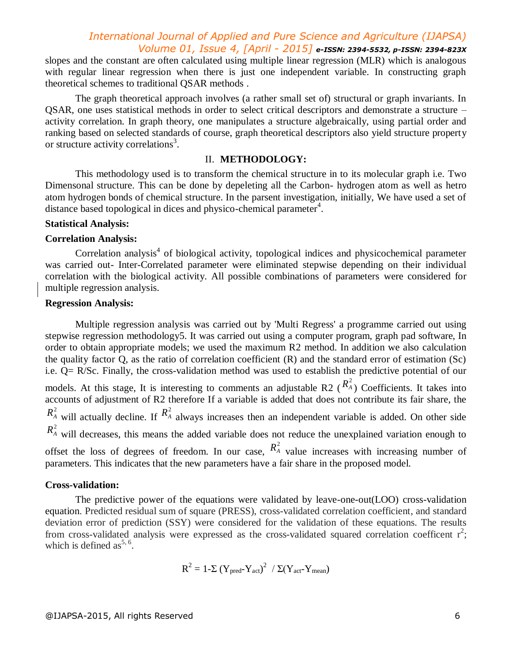# *International Journal of Applied and Pure Science and Agriculture (IJAPSA) Volume 01, Issue 4, [April - 2015] e-ISSN: 2394-5532, p-ISSN: 2394-823X*

slopes and the constant are often calculated using multiple linear regression (MLR) which is analogous with regular linear regression when there is just one independent variable. In constructing graph theoretical schemes to traditional QSAR methods .

The graph theoretical approach involves (a rather small set of) structural or graph invariants. In QSAR, one uses statistical methods in order to select critical descriptors and demonstrate a structure – activity correlation. In graph theory, one manipulates a structure algebraically, using partial order and ranking based on selected standards of course, graph theoretical descriptors also yield structure property or structure activity correlations<sup>3</sup>.

## II. **METHODOLOGY:**

This methodology used is to transform the chemical structure in to its molecular graph i.e. Two Dimensonal structure. This can be done by depeleting all the Carbon- hydrogen atom as well as hetro atom hydrogen bonds of chemical structure. In the parsent investigation, initially, We have used a set of distance based topological in dices and physico-chemical parameter<sup>4</sup>.

#### **Statistical Analysis:**

### **Correlation Analysis:**

Correlation analysis<sup>4</sup> of biological activity, topological indices and physicochemical parameter was carried out- Inter-Correlated parameter were eliminated stepwise depending on their individual correlation with the biological activity. All possible combinations of parameters were considered for multiple regression analysis.

# **Regression Analysis:**

Multiple regression analysis was carried out by 'Multi Regress' a programme carried out using stepwise regression methodology5. It was carried out using a computer program, graph pad software, In order to obtain appropriate models; we used the maximum R2 method. In addition we also calculation the quality factor Q, as the ratio of correlation coefficient (R) and the standard error of estimation (Sc) i.e. Q= R/Sc. Finally, the cross-validation method was used to establish the predictive potential of our models. At this stage, It is interesting to comments an adjustable R2 ( $R_A^2$ ) Coefficients. It takes into accounts of adjustment of R2 therefore If a variable is added that does not contribute its fair share, the  $R_A^2$  will actually decline. If  $R_A^2$  always increases then an independent variable is added. On other side  $R_A^2$  will decreases, this means the added variable does not reduce the unexplained variation enough to offset the loss of degrees of freedom. In our case,  $R_A^2$  value increases with increasing number of parameters. This indicates that the new parameters have a fair share in the proposed model.

#### **Cross-validation:**

The predictive power of the equations were validated by leave-one-out(LOO) cross-validation equation. Predicted residual sum of square (PRESS), cross-validated correlation coefficient, and standard deviation error of prediction (SSY) were considered for the validation of these equations. The results from cross-validated analysis were expressed as the cross-validated squared correlation coefficent  $r^2$ ; which is defined as  $5, 6$ .

$$
R^2 = 1 - \Sigma (Y_{pred} - Y_{act})^2 / \Sigma (Y_{act} - Y_{mean})
$$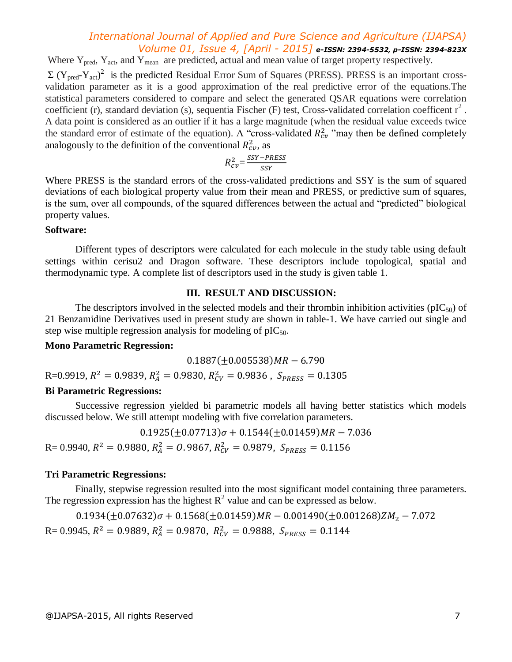# *International Journal of Applied and Pure Science and Agriculture (IJAPSA) Volume 01, Issue 4, [April - 2015] e-ISSN: 2394-5532, p-ISSN: 2394-823X*

Where Y<sub>pred</sub>, Y<sub>act</sub>, and Y<sub>mean</sub> are predicted, actual and mean value of target property respectively.  $\Sigma$  (Y<sub>pred</sub>-Y<sub>act</sub>)<sup>2</sup> is the predicted Residual Error Sum of Squares (PRESS). PRESS is an important crossvalidation parameter as it is a good approximation of the real predictive error of the equations.The statistical parameters considered to compare and select the generated QSAR equations were correlation coefficient (r), standard deviation (s), sequentia Fischer (F) test, Cross-validated correlation coefficent  $r^2$ . A data point is considered as an outlier if it has a large magnitude (when the residual value exceeds twice the standard error of estimate of the equation). A "cross-validated  $R_{cv}^2$ " may then be defined completely analogously to the definition of the conventional  $R_{cv}^2$ , as

$$
R_{cv}^2 = \frac{SSY - PRESS}{SSY}
$$

Where PRESS is the standard errors of the cross-validated predictions and SSY is the sum of squared deviations of each biological property value from their mean and PRESS, or predictive sum of squares, is the sum, over all compounds, of the squared differences between the actual and "predicted" biological property values.

#### **Software:**

Different types of descriptors were calculated for each molecule in the study table using default settings within cerisu2 and Dragon software. These descriptors include topological, spatial and thermodynamic type. A complete list of descriptors used in the study is given table 1.

### **III. RESULT AND DISCUSSION:**

The descriptors involved in the selected models and their thrombin inhibition activities ( $pIC_{50}$ ) of 21 Benzamidine Derivatives used in present study are shown in table-1. We have carried out single and step wise multiple regression analysis for modeling of  $pIC_{50}$ .

### **Mono Parametric Regression:**

 $0.1887(\pm 0.005538)$ MR - 6.790

 $R=0.9919, R^2=0.9839, R_A^2=0.9830, R_{CV}^2=0.9836$ ,

## **Bi Parametric Regressions:**

Successive regression yielded bi parametric models all having better statistics which models discussed below. We still attempt modeling with five correlation parameters.

 $0.1925(\pm 0.07713)\sigma + 0.1544(\pm 0.01459)MR - 7.036$  $R = 0.9940, R^2 = 0.9880, R_A^2 = 0.9867, R_{CV}^2 = 0.9879,$ 

## **Tri Parametric Regressions:**

Finally, stepwise regression resulted into the most significant model containing three parameters. The regression expression has the highest  $R^2$  value and can be expressed as below.

 $0.1934(\pm 0.07632)\sigma + 0.1568(\pm 0.01459)MR - 0.001490(\pm 0.001268)ZM_2 - 7.072$  $R = 0.9945$ ,  $R^2 = 0.9889$ ,  $R_A^2 = 0.9870$ ,  $R_{CV}^2 = 0.9888$ ,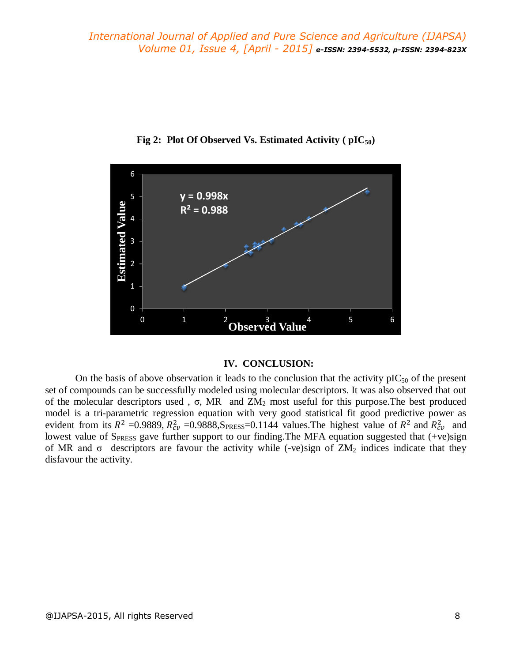

**Fig 2: Plot Of Observed Vs. Estimated Activity ( pIC50)**

### **IV. CONCLUSION:**

On the basis of above observation it leads to the conclusion that the activity  $pIC_{50}$  of the present set of compounds can be successfully modeled using molecular descriptors. It was also observed that out of the molecular descriptors used,  $σ$ , MR and  $ZM<sub>2</sub>$  most useful for this purpose. The best produced model is a tri-parametric regression equation with very good statistical fit good predictive power as evident from its  $R^2 = 0.9889$ ,  $R_{cv}^2 = 0.9888$ ,  $S_{PRESS} = 0.1144$  values. The highest value of  $R^2$  and  $R_{cv}^2$  and lowest value of SPRESS gave further support to our finding. The MFA equation suggested that (+ve)sign of MR and  $\sigma$  descriptors are favour the activity while (-ve)sign of  $ZM_2$  indices indicate that they disfavour the activity.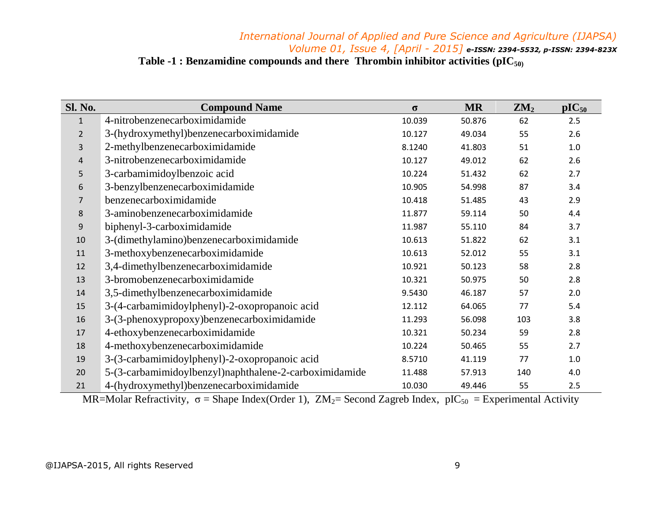# *International Journal of Applied and Pure Science and Agriculture (IJAPSA) Volume 01, Issue 4, [April - 2015] e-ISSN: 2394-5532, p-ISSN: 2394-823X* **Table -1 : Benzamidine compounds and there Thrombin inhibitor activities (pIC50)**

| <b>Sl. No.</b> | <b>Compound Name</b>                                   | $\sigma$ | <b>MR</b> | $\mathbf{ZM}_2$ | $pIC_{50}$ |
|----------------|--------------------------------------------------------|----------|-----------|-----------------|------------|
| $\mathbf{1}$   | 4-nitrobenzenecarboximidamide                          | 10.039   | 50.876    | 62              | 2.5        |
| $\overline{2}$ | 3-(hydroxymethyl)benzenecarboximidamide                | 10.127   | 49.034    | 55              | 2.6        |
| 3              | 2-methylbenzenecarboximidamide                         | 8.1240   | 41.803    | 51              | $1.0\,$    |
| $\overline{4}$ | 3-nitrobenzenecarboximidamide                          | 10.127   | 49.012    | 62              | 2.6        |
| 5              | 3-carbamimidoylbenzoic acid                            | 10.224   | 51.432    | 62              | 2.7        |
| 6              | 3-benzylbenzenecarboximidamide                         | 10.905   | 54.998    | 87              | 3.4        |
| $\overline{7}$ | benzenecarboximidamide                                 | 10.418   | 51.485    | 43              | 2.9        |
| 8              | 3-aminobenzenecarboximidamide                          | 11.877   | 59.114    | 50              | 4.4        |
| 9              | biphenyl-3-carboximidamide                             | 11.987   | 55.110    | 84              | 3.7        |
| 10             | 3-(dimethylamino)benzenecarboximidamide                | 10.613   | 51.822    | 62              | 3.1        |
| 11             | 3-methoxybenzenecarboximidamide                        | 10.613   | 52.012    | 55              | 3.1        |
| 12             | 3,4-dimethylbenzenecarboximidamide                     | 10.921   | 50.123    | 58              | 2.8        |
| 13             | 3-bromobenzenecarboximidamide                          | 10.321   | 50.975    | 50              | 2.8        |
| 14             | 3,5-dimethylbenzenecarboximidamide                     | 9.5430   | 46.187    | 57              | 2.0        |
| 15             | 3-(4-carbamimidoylphenyl)-2-oxopropanoic acid          | 12.112   | 64.065    | 77              | 5.4        |
| 16             | 3-(3-phenoxypropoxy)benzenecarboximidamide             | 11.293   | 56.098    | 103             | 3.8        |
| 17             | 4-ethoxybenzenecarboximidamide                         | 10.321   | 50.234    | 59              | 2.8        |
| 18             | 4-methoxybenzenecarboximidamide                        | 10.224   | 50.465    | 55              | 2.7        |
| 19             | 3-(3-carbamimidoylphenyl)-2-oxopropanoic acid          | 8.5710   | 41.119    | 77              | 1.0        |
| 20             | 5-(3-carbamimidoylbenzyl)naphthalene-2-carboximidamide | 11.488   | 57.913    | 140             | 4.0        |
| 21             | 4-(hydroxymethyl)benzenecarboximidamide                | 10.030   | 49.446    | 55              | 2.5        |

MR=Molar Refractivity,  $\sigma$  = Shape Index(Order 1),  $ZM_2$ = Second Zagreb Index, pIC<sub>50</sub> = Experimental Activity